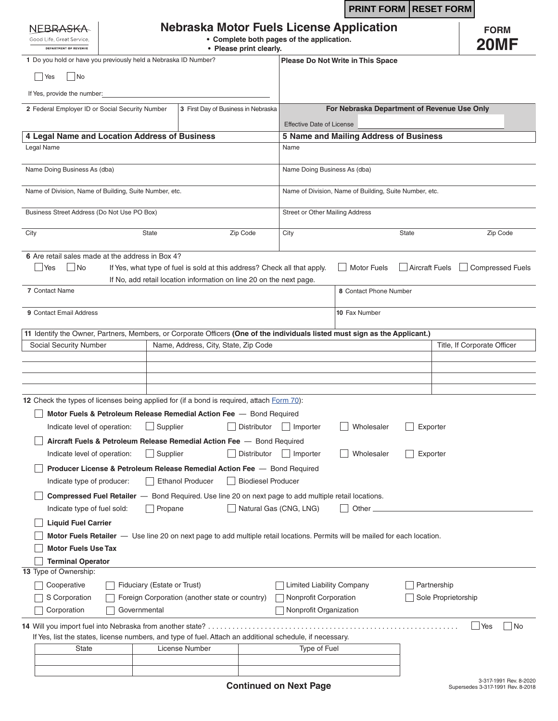|                                                                                                                                                                                        |  |                                             |                                                                                                                                                 |                           |                                                                                     | <b>PRINT FORM RESET FORM</b>                                                                                                |                |                                    |                             |
|----------------------------------------------------------------------------------------------------------------------------------------------------------------------------------------|--|---------------------------------------------|-------------------------------------------------------------------------------------------------------------------------------------------------|---------------------------|-------------------------------------------------------------------------------------|-----------------------------------------------------------------------------------------------------------------------------|----------------|------------------------------------|-----------------------------|
| Nebraska Motor Fuels License Application<br>NFBRA<br>• Complete both pages of the application.<br>Good Life, Great Service,<br><b>DEPARTMENT OF REVENUE</b><br>• Please print clearly. |  |                                             |                                                                                                                                                 |                           |                                                                                     |                                                                                                                             |                | <b>FORM</b><br><b>20MF</b>         |                             |
| 1 Do you hold or have you previously held a Nebraska ID Number?                                                                                                                        |  |                                             |                                                                                                                                                 |                           |                                                                                     | Please Do Not Write in This Space                                                                                           |                |                                    |                             |
| No<br>Yes                                                                                                                                                                              |  |                                             |                                                                                                                                                 |                           |                                                                                     |                                                                                                                             |                |                                    |                             |
| If Yes, provide the number:                                                                                                                                                            |  |                                             |                                                                                                                                                 |                           |                                                                                     |                                                                                                                             |                |                                    |                             |
| 2 Federal Employer ID or Social Security Number                                                                                                                                        |  |                                             | 3 First Day of Business in Nebraska                                                                                                             |                           | For Nebraska Department of Revenue Use Only                                         |                                                                                                                             |                |                                    |                             |
|                                                                                                                                                                                        |  |                                             |                                                                                                                                                 |                           | <b>Effective Date of License</b>                                                    |                                                                                                                             |                |                                    |                             |
| 4 Legal Name and Location Address of Business                                                                                                                                          |  |                                             |                                                                                                                                                 |                           | 5 Name and Mailing Address of Business                                              |                                                                                                                             |                |                                    |                             |
| Legal Name                                                                                                                                                                             |  |                                             |                                                                                                                                                 |                           | Name                                                                                |                                                                                                                             |                |                                    |                             |
| Name Doing Business As (dba)                                                                                                                                                           |  |                                             |                                                                                                                                                 |                           | Name Doing Business As (dba)                                                        |                                                                                                                             |                |                                    |                             |
| Name of Division, Name of Building, Suite Number, etc.                                                                                                                                 |  |                                             |                                                                                                                                                 |                           | Name of Division, Name of Building, Suite Number, etc.                              |                                                                                                                             |                |                                    |                             |
| Business Street Address (Do Not Use PO Box)                                                                                                                                            |  |                                             |                                                                                                                                                 |                           | Street or Other Mailing Address                                                     |                                                                                                                             |                |                                    |                             |
| City                                                                                                                                                                                   |  | <b>State</b>                                |                                                                                                                                                 | Zip Code                  | City                                                                                |                                                                                                                             | <b>State</b>   |                                    | Zip Code                    |
| 6 Are retail sales made at the address in Box 4?<br>「 INo<br><b>PYes</b><br>7 Contact Name<br>9 Contact Email Address                                                                  |  |                                             | If Yes, what type of fuel is sold at this address? Check all that apply.<br>If No, add retail location information on line 20 on the next page. |                           |                                                                                     | <b>Motor Fuels</b><br>8 Contact Phone Number<br>10 Fax Number                                                               | Aircraft Fuels |                                    | <b>Compressed Fuels</b>     |
| 11 Identify the Owner, Partners, Members, or Corporate Officers (One of the individuals listed must sign as the Applicant.)                                                            |  |                                             |                                                                                                                                                 |                           |                                                                                     |                                                                                                                             |                |                                    |                             |
| Social Security Number                                                                                                                                                                 |  |                                             | Name, Address, City, State, Zip Code                                                                                                            |                           |                                                                                     |                                                                                                                             |                |                                    | Title, If Corporate Officer |
|                                                                                                                                                                                        |  |                                             |                                                                                                                                                 |                           |                                                                                     |                                                                                                                             |                |                                    |                             |
|                                                                                                                                                                                        |  |                                             |                                                                                                                                                 |                           |                                                                                     |                                                                                                                             |                |                                    |                             |
|                                                                                                                                                                                        |  |                                             |                                                                                                                                                 |                           |                                                                                     |                                                                                                                             |                |                                    |                             |
| 12 Check the types of licenses being applied for (if a bond is required, attach Form 70):<br>Indicate level of operation:                                                              |  | $\Box$ Supplier                             | Motor Fuels & Petroleum Release Remedial Action Fee - Bond Required                                                                             | Distributor               | Importer                                                                            | Wholesaler                                                                                                                  |                | Exporter                           |                             |
|                                                                                                                                                                                        |  |                                             | Aircraft Fuels & Petroleum Release Remedial Action Fee - Bond Required                                                                          |                           |                                                                                     |                                                                                                                             |                |                                    |                             |
| Indicate level of operation:                                                                                                                                                           |  | Supplier                                    |                                                                                                                                                 | Distributor               | Importer                                                                            | Wholesaler                                                                                                                  |                | Exporter                           |                             |
| Indicate type of producer:                                                                                                                                                             |  |                                             | Producer License & Petroleum Release Remedial Action Fee - Bond Required<br><b>Ethanol Producer</b>                                             | <b>Biodiesel Producer</b> |                                                                                     |                                                                                                                             |                |                                    |                             |
|                                                                                                                                                                                        |  |                                             | <b>Compressed Fuel Retailer</b> - Bond Required. Use line 20 on next page to add multiple retail locations.                                     |                           |                                                                                     |                                                                                                                             |                |                                    |                             |
| Indicate type of fuel sold:                                                                                                                                                            |  | Propane                                     |                                                                                                                                                 |                           | Natural Gas (CNG, LNG)                                                              | Other                                                                                                                       |                |                                    |                             |
| <b>Liquid Fuel Carrier</b><br><b>Motor Fuels Use Tax</b>                                                                                                                               |  |                                             |                                                                                                                                                 |                           |                                                                                     | Motor Fuels Retailer - Use line 20 on next page to add multiple retail locations. Permits will be mailed for each location. |                |                                    |                             |
| <b>Terminal Operator</b>                                                                                                                                                               |  |                                             |                                                                                                                                                 |                           |                                                                                     |                                                                                                                             |                |                                    |                             |
| 13 Type of Ownership:<br>Cooperative<br>S Corporation<br>Corporation                                                                                                                   |  | Fiduciary (Estate or Trust)<br>Governmental | Foreign Corporation (another state or country)                                                                                                  |                           | <b>Limited Liability Company</b><br>Nonprofit Corporation<br>Nonprofit Organization |                                                                                                                             |                | Partnership<br>Sole Proprietorship |                             |
|                                                                                                                                                                                        |  |                                             | If Yes, list the states, license numbers, and type of fuel. Attach an additional schedule, if necessary.                                        |                           |                                                                                     |                                                                                                                             |                |                                    | No<br>  Yes                 |
| <b>State</b>                                                                                                                                                                           |  |                                             | License Number                                                                                                                                  |                           | Type of Fuel                                                                        |                                                                                                                             |                |                                    |                             |
|                                                                                                                                                                                        |  |                                             |                                                                                                                                                 |                           |                                                                                     |                                                                                                                             |                |                                    |                             |
|                                                                                                                                                                                        |  |                                             |                                                                                                                                                 |                           |                                                                                     |                                                                                                                             |                |                                    |                             |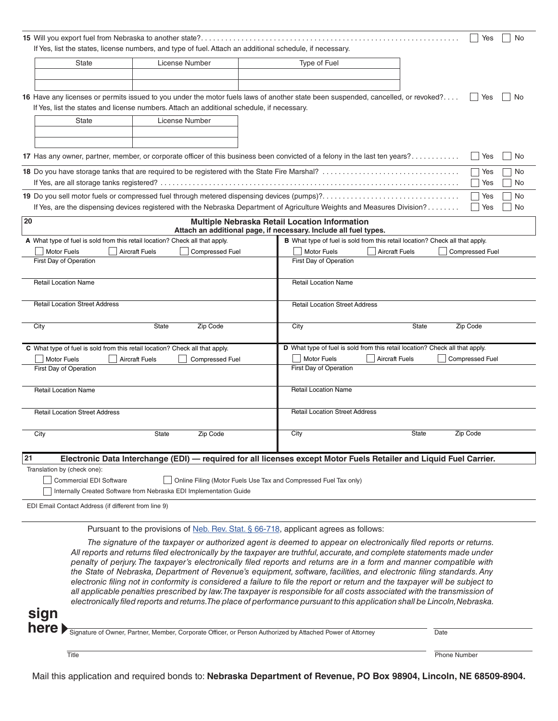|    | If Yes, list the states, license numbers, and type of fuel. Attach an additional schedule, if necessary.                                                                                                                      | Yes<br>No                                                                                                                                                                                                                                                                                                                                                                                                                                                                                                                                                                                                                    |  |  |  |  |  |  |  |
|----|-------------------------------------------------------------------------------------------------------------------------------------------------------------------------------------------------------------------------------|------------------------------------------------------------------------------------------------------------------------------------------------------------------------------------------------------------------------------------------------------------------------------------------------------------------------------------------------------------------------------------------------------------------------------------------------------------------------------------------------------------------------------------------------------------------------------------------------------------------------------|--|--|--|--|--|--|--|
|    | <b>State</b><br>License Number                                                                                                                                                                                                | Type of Fuel                                                                                                                                                                                                                                                                                                                                                                                                                                                                                                                                                                                                                 |  |  |  |  |  |  |  |
|    | 16 Have any licenses or permits issued to you under the motor fuels laws of another state been suspended, cancelled, or revoked?<br>If Yes, list the states and license numbers. Attach an additional schedule, if necessary. | Yes<br>No                                                                                                                                                                                                                                                                                                                                                                                                                                                                                                                                                                                                                    |  |  |  |  |  |  |  |
|    | License Number<br><b>State</b>                                                                                                                                                                                                |                                                                                                                                                                                                                                                                                                                                                                                                                                                                                                                                                                                                                              |  |  |  |  |  |  |  |
|    | 17 Has any owner, partner, member, or corporate officer of this business been convicted of a felony in the last ten years?                                                                                                    | No<br>Yes                                                                                                                                                                                                                                                                                                                                                                                                                                                                                                                                                                                                                    |  |  |  |  |  |  |  |
|    | Yes<br>No<br>No<br>Yes                                                                                                                                                                                                        |                                                                                                                                                                                                                                                                                                                                                                                                                                                                                                                                                                                                                              |  |  |  |  |  |  |  |
|    | Yes<br>No<br>If Yes, are the dispensing devices registered with the Nebraska Department of Agriculture Weights and Measures Division?<br>Yes<br><b>No</b>                                                                     |                                                                                                                                                                                                                                                                                                                                                                                                                                                                                                                                                                                                                              |  |  |  |  |  |  |  |
| 20 |                                                                                                                                                                                                                               | Multiple Nebraska Retail Location Information<br>Attach an additional page, if necessary. Include all fuel types.                                                                                                                                                                                                                                                                                                                                                                                                                                                                                                            |  |  |  |  |  |  |  |
|    | A What type of fuel is sold from this retail location? Check all that apply.                                                                                                                                                  | B What type of fuel is sold from this retail location? Check all that apply.                                                                                                                                                                                                                                                                                                                                                                                                                                                                                                                                                 |  |  |  |  |  |  |  |
|    | Motor Fuels<br><b>Aircraft Fuels</b><br><b>Compressed Fuel</b><br>First Day of Operation                                                                                                                                      | Motor Fuels<br><b>Aircraft Fuels</b><br><b>Compressed Fuel</b><br>First Day of Operation                                                                                                                                                                                                                                                                                                                                                                                                                                                                                                                                     |  |  |  |  |  |  |  |
|    |                                                                                                                                                                                                                               |                                                                                                                                                                                                                                                                                                                                                                                                                                                                                                                                                                                                                              |  |  |  |  |  |  |  |
|    | <b>Retail Location Name</b>                                                                                                                                                                                                   | <b>Retail Location Name</b>                                                                                                                                                                                                                                                                                                                                                                                                                                                                                                                                                                                                  |  |  |  |  |  |  |  |
|    | <b>Retail Location Street Address</b>                                                                                                                                                                                         | <b>Retail Location Street Address</b>                                                                                                                                                                                                                                                                                                                                                                                                                                                                                                                                                                                        |  |  |  |  |  |  |  |
|    | <b>State</b><br>Zip Code<br>City                                                                                                                                                                                              | City<br>State<br>Zip Code                                                                                                                                                                                                                                                                                                                                                                                                                                                                                                                                                                                                    |  |  |  |  |  |  |  |
|    | C What type of fuel is sold from this retail location? Check all that apply.                                                                                                                                                  | D What type of fuel is sold from this retail location? Check all that apply.                                                                                                                                                                                                                                                                                                                                                                                                                                                                                                                                                 |  |  |  |  |  |  |  |
|    | <b>Motor Fuels</b><br><b>Aircraft Fuels</b><br>Compressed Fuel<br>First Day of Operation                                                                                                                                      | Motor Fuels<br><b>Aircraft Fuels</b><br><b>Compressed Fuel</b><br>First Day of Operation                                                                                                                                                                                                                                                                                                                                                                                                                                                                                                                                     |  |  |  |  |  |  |  |
|    |                                                                                                                                                                                                                               |                                                                                                                                                                                                                                                                                                                                                                                                                                                                                                                                                                                                                              |  |  |  |  |  |  |  |
|    | <b>Retail Location Name</b>                                                                                                                                                                                                   | <b>Retail Location Name</b>                                                                                                                                                                                                                                                                                                                                                                                                                                                                                                                                                                                                  |  |  |  |  |  |  |  |
|    | <b>Retail Location Street Address</b>                                                                                                                                                                                         | <b>Retail Location Street Address</b>                                                                                                                                                                                                                                                                                                                                                                                                                                                                                                                                                                                        |  |  |  |  |  |  |  |
|    | City<br>State<br>Zip Code                                                                                                                                                                                                     | City<br>State<br>Zip Code                                                                                                                                                                                                                                                                                                                                                                                                                                                                                                                                                                                                    |  |  |  |  |  |  |  |
| 21 |                                                                                                                                                                                                                               | Electronic Data Interchange (EDI) - required for all licenses except Motor Fuels Retailer and Liquid Fuel Carrier.                                                                                                                                                                                                                                                                                                                                                                                                                                                                                                           |  |  |  |  |  |  |  |
|    | Translation by (check one):<br><b>Commercial EDI Software</b><br>Internally Created Software from Nebraska EDI Implementation Guide                                                                                           | Online Filing (Motor Fuels Use Tax and Compressed Fuel Tax only)                                                                                                                                                                                                                                                                                                                                                                                                                                                                                                                                                             |  |  |  |  |  |  |  |
|    | EDI Email Contact Address (if different from line 9)                                                                                                                                                                          |                                                                                                                                                                                                                                                                                                                                                                                                                                                                                                                                                                                                                              |  |  |  |  |  |  |  |
|    |                                                                                                                                                                                                                               |                                                                                                                                                                                                                                                                                                                                                                                                                                                                                                                                                                                                                              |  |  |  |  |  |  |  |
|    | Pursuant to the provisions of Neb. Rev. Stat. § 66-718, applicant agrees as follows:                                                                                                                                          |                                                                                                                                                                                                                                                                                                                                                                                                                                                                                                                                                                                                                              |  |  |  |  |  |  |  |
|    |                                                                                                                                                                                                                               | The signature of the taxpayer or authorized agent is deemed to appear on electronically filed reports or returns.<br>All reports and returns filed electronically by the taxpayer are truthful, accurate, and complete statements made under<br>penalty of perjury. The taxpayer's electronically filed reports and returns are in a form and manner compatible with<br>the State of Nebraska, Department of Revenue's equipment, software, facilities, and electronic filing standards. Any<br>electronic filing not in conformity is considered a failure to file the report or return and the taxpayer will be subject to |  |  |  |  |  |  |  |

**sign here**

| IC ▼ Signature of Owner, Partner, Member, Corporate Officer, or Person Authorized by Attached Power of Attorney | Date |
|-----------------------------------------------------------------------------------------------------------------|------|
|                                                                                                                 |      |

<u> 1980 - Johann Barbara, martxa alemaniar a</u>

*all applicable penalties prescribed by law. The taxpayer is responsible for all costs associated with the transmission of electronically filed reports and returns. The place of performance pursuant to this application shall be Lincoln, Nebraska.* 

Title Phone Number

Mail this application and required bonds to: **Nebraska Department of Revenue, PO Box 98904, Lincoln, NE 68509-8904.**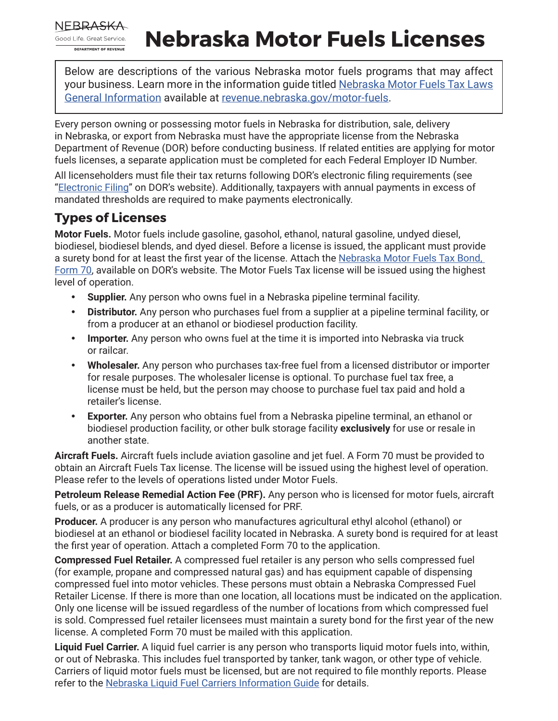

## **Nebraska Motor Fuels Licenses**

Below are descriptions of the various Nebraska motor fuels programs that may affect your business. Learn more in the information guide titled [Nebraska Motor Fuels Tax Laws](https://revenue.nebraska.gov/files/doc/motor-fuels/info/mftaxlawsgeneral.pdf) [General Information](https://revenue.nebraska.gov/files/doc/motor-fuels/info/mftaxlawsgeneral.pdf) available at [revenue.nebraska.gov/motor-fuels](https://revenue.nebraska.gov/motor-fuels).

Every person owning or possessing motor fuels in Nebraska for distribution, sale, delivery in Nebraska, or export from Nebraska must have the appropriate license from the Nebraska Department of Revenue (DOR) before conducting business. If related entities are applying for motor fuels licenses, a separate application must be completed for each Federal Employer ID Number.

All licenseholders must file their tax returns following DOR's electronic filing requirements (see "[Electronic Filing](https://revenue.nebraska.gov/businesses/motor-fuels-electronic-filing)" on DOR's website). Additionally, taxpayers with annual payments in excess of mandated thresholds are required to make payments electronically.

## **Types of Licenses**

**Motor Fuels.** Motor fuels include gasoline, gasohol, ethanol, natural gasoline, undyed diesel, biodiesel, biodiesel blends, and dyed diesel. Before a license is issued, the applicant must provide a surety bond for at least the first year of the license. Attach the Nebraska Motor Fuels Tax Bond, [Form 70,](https://revenue.nebraska.gov/files/doc/motor-fuels/forms/f_70.pdf) available on DOR's website. The Motor Fuels Tax license will be issued using the highest level of operation.

- **Supplier.** Any person who owns fuel in a Nebraska pipeline terminal facility.
- **Distributor.** Any person who purchases fuel from a supplier at a pipeline terminal facility, or from a producer at an ethanol or biodiesel production facility.
- **Importer.** Any person who owns fuel at the time it is imported into Nebraska via truck or railcar.
- **Wholesaler.** Any person who purchases tax-free fuel from a licensed distributor or importer for resale purposes. The wholesaler license is optional. To purchase fuel tax free, a license must be held, but the person may choose to purchase fuel tax paid and hold a retailer's license.
- **Exporter.** Any person who obtains fuel from a Nebraska pipeline terminal, an ethanol or biodiesel production facility, or other bulk storage facility **exclusively** for use or resale in another state.

**Aircraft Fuels.** Aircraft fuels include aviation gasoline and jet fuel. A Form 70 must be provided to obtain an Aircraft Fuels Tax license. The license will be issued using the highest level of operation. Please refer to the levels of operations listed under Motor Fuels.

**Petroleum Release Remedial Action Fee (PRF).** Any person who is licensed for motor fuels, aircraft fuels, or as a producer is automatically licensed for PRF.

**Producer.** A producer is any person who manufactures agricultural ethyl alcohol (ethanol) or biodiesel at an ethanol or biodiesel facility located in Nebraska. A surety bond is required for at least the first year of operation. Attach a completed Form 70 to the application.

**Compressed Fuel Retailer.** A compressed fuel retailer is any person who sells compressed fuel (for example, propane and compressed natural gas) and has equipment capable of dispensing compressed fuel into motor vehicles. These persons must obtain a Nebraska Compressed Fuel Retailer License. If there is more than one location, all locations must be indicated on the application. Only one license will be issued regardless of the number of locations from which compressed fuel is sold. Compressed fuel retailer licensees must maintain a surety bond for the first year of the new license. A completed Form 70 must be mailed with this application.

**Liquid Fuel Carrier.** A liquid fuel carrier is any person who transports liquid motor fuels into, within, or out of Nebraska. This includes fuel transported by tanker, tank wagon, or other type of vehicle. Carriers of liquid motor fuels must be licensed, but are not required to file monthly reports. Please refer to the [Nebraska Liquid Fuel Carriers Information Guide](https://revenue.nebraska.gov/files/doc/motor-fuels/info/liquid.pdf) for details.